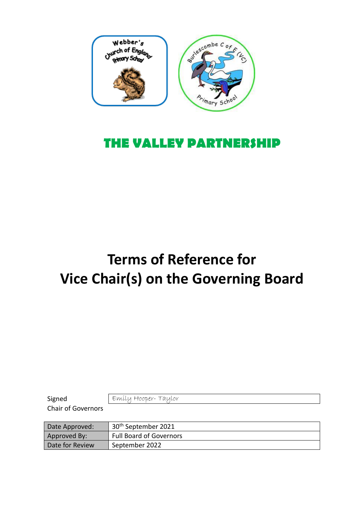

## **THE VALLEY PARTNERSHIP**

## **Terms of Reference for Vice Chair(s) on the Governing Board**

Signed Emily Hooper- Taylor

Chair of Governors

| Date Approved:  | 30 <sup>th</sup> September 2021 |
|-----------------|---------------------------------|
| Approved By:    | <b>Full Board of Governors</b>  |
| Date for Review | September 2022                  |